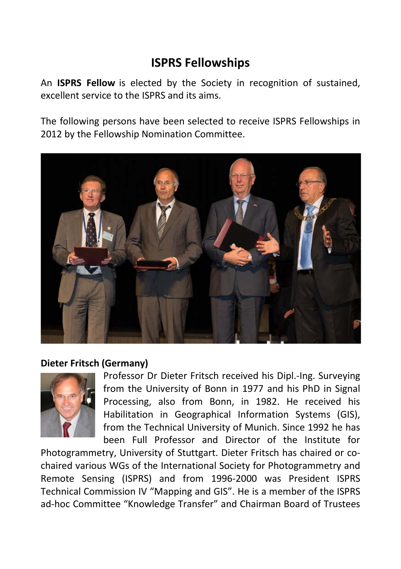# **ISPRS Fellowships**

An **ISPRS Fellow** is elected by the Society in recognition of sustained, excellent service to the ISPRS and its aims.

The following persons have been selected to receive ISPRS Fellowships in 2012 by the Fellowship Nomination Committee.



## **Dieter Fritsch (Germany)**



Professor Dr Dieter Fritsch received his Dipl.-Ing. Surveying from the University of Bonn in 1977 and his PhD in Signal Processing, also from Bonn, in 1982. He received his Habilitation in Geographical Information Systems (GIS), from the Technical University of Munich. Since 1992 he has been Full Professor and Director of the Institute for

Photogrammetry, University of Stuttgart. Dieter Fritsch has chaired or cochaired various WGs of the International Society for Photogrammetry and Remote Sensing (ISPRS) and from 1996-2000 was President ISPRS Technical Commission IV "Mapping and GIS". He is a member of the ISPRS ad-hoc Committee "Knowledge Transfer" and Chairman Board of Trustees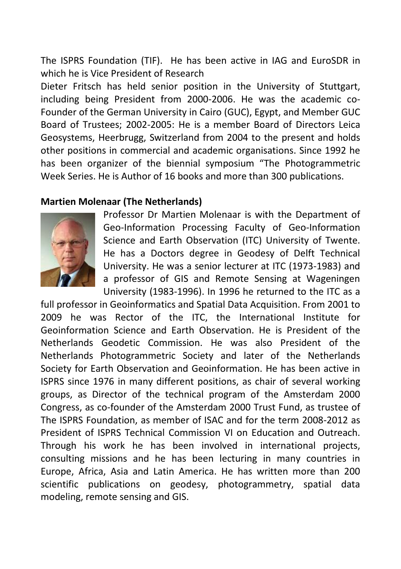The ISPRS Foundation (TIF). He has been active in IAG and EuroSDR in which he is Vice President of Research

Dieter Fritsch has held senior position in the University of Stuttgart, including being President from 2000-2006. He was the academic co-Founder of the German University in Cairo (GUC), Egypt, and Member GUC Board of Trustees; 2002-2005: He is a member Board of Directors Leica Geosystems, Heerbrugg, Switzerland from 2004 to the present and holds other positions in commercial and academic organisations. Since 1992 he has been organizer of the biennial symposium "The Photogrammetric Week Series. He is Author of 16 books and more than 300 publications.

## **Martien Molenaar (The Netherlands)**



Professor Dr Martien Molenaar is with the Department of Geo-Information Processing Faculty of Geo-Information Science and Earth Observation (ITC) University of Twente. He has a Doctors degree in Geodesy of Delft Technical University. He was a senior lecturer at ITC (1973-1983) and a professor of GIS and Remote Sensing at Wageningen University (1983-1996). In 1996 he returned to the ITC as a

full professor in Geoinformatics and Spatial Data Acquisition. From 2001 to 2009 he was Rector of the ITC, the International Institute for Geoinformation Science and Earth Observation. He is President of the Netherlands Geodetic Commission. He was also President of the Netherlands Photogrammetric Society and later of the Netherlands Society for Earth Observation and Geoinformation. He has been active in ISPRS since 1976 in many different positions, as chair of several working groups, as Director of the technical program of the Amsterdam 2000 Congress, as co-founder of the Amsterdam 2000 Trust Fund, as trustee of The ISPRS Foundation, as member of ISAC and for the term 2008-2012 as President of ISPRS Technical Commission VI on Education and Outreach. Through his work he has been involved in international projects, consulting missions and he has been lecturing in many countries in Europe, Africa, Asia and Latin America. He has written more than 200 scientific publications on geodesy, photogrammetry, spatial data modeling, remote sensing and GIS.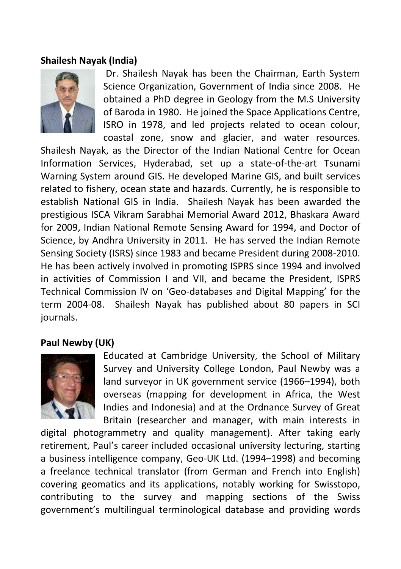## **Shailesh Nayak (India)**



Dr. Shailesh Nayak has been the Chairman, Earth System Science Organization, Government of India since 2008. He obtained a PhD degree in Geology from the M.S University of Baroda in 1980. He joined the Space Applications Centre, ISRO in 1978, and led projects related to ocean colour, coastal zone, snow and glacier, and water resources.

Shailesh Nayak, as the Director of the Indian National Centre for Ocean Information Services, Hyderabad, set up a state-of-the-art Tsunami Warning System around GIS. He developed Marine GIS, and built services related to fishery, ocean state and hazards. Currently, he is responsible to establish National GIS in India. Shailesh Nayak has been awarded the prestigious ISCA Vikram Sarabhai Memorial Award 2012, Bhaskara Award for 2009, Indian National Remote Sensing Award for 1994, and Doctor of Science, by Andhra University in 2011. He has served the Indian Remote Sensing Society (ISRS) since 1983 and became President during 2008-2010. He has been actively involved in promoting ISPRS since 1994 and involved in activities of Commission I and VII, and became the President, ISPRS Technical Commission IV on 'Geo-databases and Digital Mapping' for the term 2004-08. Shailesh Nayak has published about 80 papers in SCI journals.

## **Paul Newby (UK)**



Educated at Cambridge University, the School of Military Survey and University College London, Paul Newby was a land surveyor in UK government service (1966–1994), both overseas (mapping for development in Africa, the West Indies and Indonesia) and at the Ordnance Survey of Great Britain (researcher and manager, with main interests in

digital photogrammetry and quality management). After taking early retirement, Paul's career included occasional university lecturing, starting a business intelligence company, Geo-UK Ltd. (1994–1998) and becoming a freelance technical translator (from German and French into English) covering geomatics and its applications, notably working for Swisstopo, contributing to the survey and mapping sections of the Swiss government's multilingual terminological database and providing words